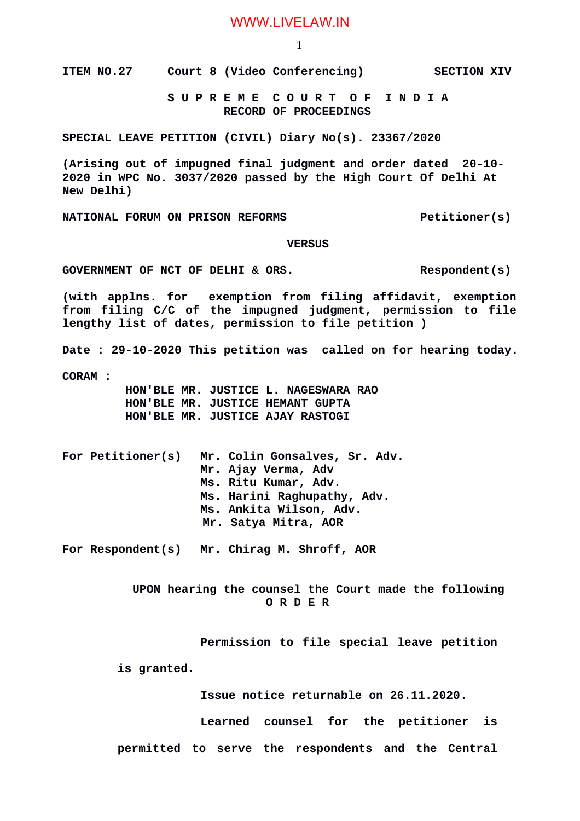## WWW.LIVELAW.IN

1

**ITEM NO.27** Court 8 (Video Conferencing) SECTION XIV

 **S U P R E M E C O U R T O F I N D I A RECORD OF PROCEEDINGS**

**SPECIAL LEAVE PETITION (CIVIL) Diary No(s). 23367/2020**

**(Arising out of impugned final judgment and order dated 20-10- 2020 in WPC No. 3037/2020 passed by the High Court Of Delhi At New Delhi)**

**NATIONAL FORUM ON PRISON REFORMS Petitioner(s)** 

## **VERSUS**

**GOVERNMENT OF NCT OF DELHI & ORS. Respondent(s)**

**(with applns. for exemption from filing affidavit, exemption from filing C/C of the impugned judgment, permission to file lengthy list of dates, permission to file petition )**

**Date : 29-10-2020 This petition was called on for hearing today.**

**CORAM :** 

 **HON'BLE MR. JUSTICE L. NAGESWARA RAO HON'BLE MR. JUSTICE HEMANT GUPTA HON'BLE MR. JUSTICE AJAY RASTOGI**

**For Petitioner(s) Mr. Colin Gonsalves, Sr. Adv. Mr. Ajay Verma, Adv Ms. Ritu Kumar, Adv. Ms. Harini Raghupathy, Adv. Ms. Ankita Wilson, Adv. Mr. Satya Mitra, AOR**

**For Respondent(s) Mr. Chirag M. Shroff, AOR**

 **UPON hearing the counsel the Court made the following O R D E R**

**Permission to file special leave petition**

**is granted.**

**Issue notice returnable on 26.11.2020.**

**Learned counsel for the petitioner is**

**permitted to serve the respondents and the Central**